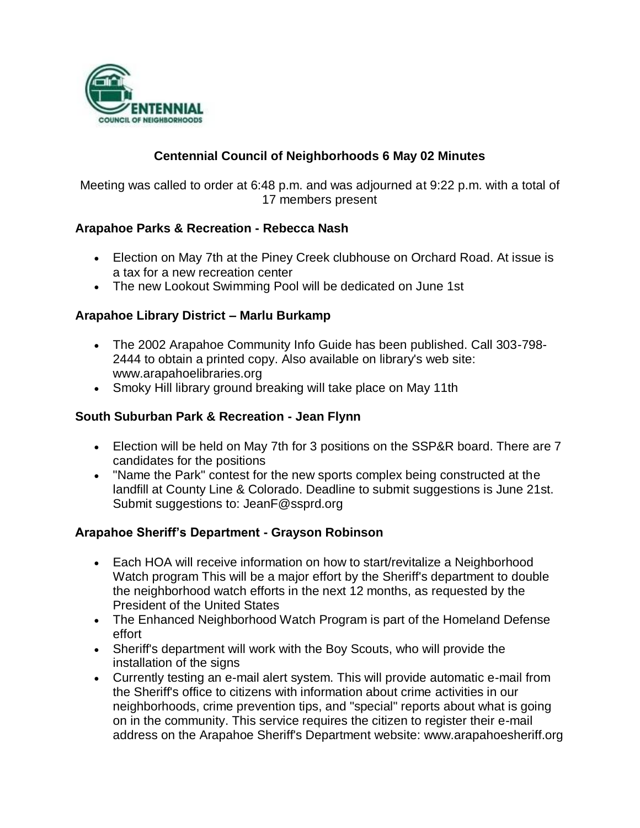

### **Centennial Council of Neighborhoods 6 May 02 Minutes**

Meeting was called to order at 6:48 p.m. and was adjourned at 9:22 p.m. with a total of 17 members present

### **Arapahoe Parks & Recreation - Rebecca Nash**

- Election on May 7th at the Piney Creek clubhouse on Orchard Road. At issue is a tax for a new recreation center
- The new Lookout Swimming Pool will be dedicated on June 1st

#### **Arapahoe Library District – Marlu Burkamp**

- The 2002 Arapahoe Community Info Guide has been published. Call 303-798- 2444 to obtain a printed copy. Also available on library's web site: www.arapahoelibraries.org
- Smoky Hill library ground breaking will take place on May 11th

#### **South Suburban Park & Recreation - Jean Flynn**

- Election will be held on May 7th for 3 positions on the SSP&R board. There are 7 candidates for the positions
- "Name the Park" contest for the new sports complex being constructed at the landfill at County Line & Colorado. Deadline to submit suggestions is June 21st. Submit suggestions to: JeanF@ssprd.org

#### **Arapahoe Sheriff's Department - Grayson Robinson**

- Each HOA will receive information on how to start/revitalize a Neighborhood Watch program This will be a major effort by the Sheriff's department to double the neighborhood watch efforts in the next 12 months, as requested by the President of the United States
- The Enhanced Neighborhood Watch Program is part of the Homeland Defense effort
- Sheriff's department will work with the Boy Scouts, who will provide the installation of the signs
- Currently testing an e-mail alert system. This will provide automatic e-mail from the Sheriff's office to citizens with information about crime activities in our neighborhoods, crime prevention tips, and "special" reports about what is going on in the community. This service requires the citizen to register their e-mail address on the Arapahoe Sheriff's Department website: www.arapahoesheriff.org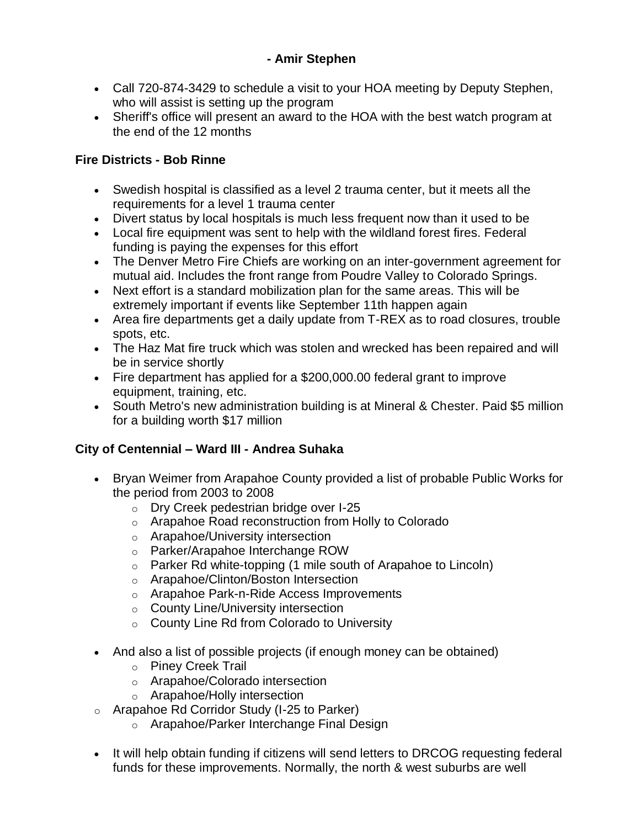### **- Amir Stephen**

- Call 720-874-3429 to schedule a visit to your HOA meeting by Deputy Stephen, who will assist is setting up the program
- Sheriff's office will present an award to the HOA with the best watch program at the end of the 12 months

## **Fire Districts - Bob Rinne**

- Swedish hospital is classified as a level 2 trauma center, but it meets all the requirements for a level 1 trauma center
- Divert status by local hospitals is much less frequent now than it used to be
- Local fire equipment was sent to help with the wildland forest fires. Federal funding is paying the expenses for this effort
- The Denver Metro Fire Chiefs are working on an inter-government agreement for mutual aid. Includes the front range from Poudre Valley to Colorado Springs.
- Next effort is a standard mobilization plan for the same areas. This will be extremely important if events like September 11th happen again
- Area fire departments get a daily update from T-REX as to road closures, trouble spots, etc.
- The Haz Mat fire truck which was stolen and wrecked has been repaired and will be in service shortly
- Fire department has applied for a \$200,000.00 federal grant to improve equipment, training, etc.
- South Metro's new administration building is at Mineral & Chester. Paid \$5 million for a building worth \$17 million

# **City of Centennial – Ward III - Andrea Suhaka**

- Bryan Weimer from Arapahoe County provided a list of probable Public Works for the period from 2003 to 2008
	- o Dry Creek pedestrian bridge over I-25
	- o Arapahoe Road reconstruction from Holly to Colorado
	- o Arapahoe/University intersection
	- o Parker/Arapahoe Interchange ROW
	- o Parker Rd white-topping (1 mile south of Arapahoe to Lincoln)
	- o Arapahoe/Clinton/Boston Intersection
	- o Arapahoe Park-n-Ride Access Improvements
	- o County Line/University intersection
	- o County Line Rd from Colorado to University
- And also a list of possible projects (if enough money can be obtained)
	- o Piney Creek Trail
	- o Arapahoe/Colorado intersection
	- o Arapahoe/Holly intersection
- o Arapahoe Rd Corridor Study (I-25 to Parker)
	- o Arapahoe/Parker Interchange Final Design
- It will help obtain funding if citizens will send letters to DRCOG requesting federal funds for these improvements. Normally, the north & west suburbs are well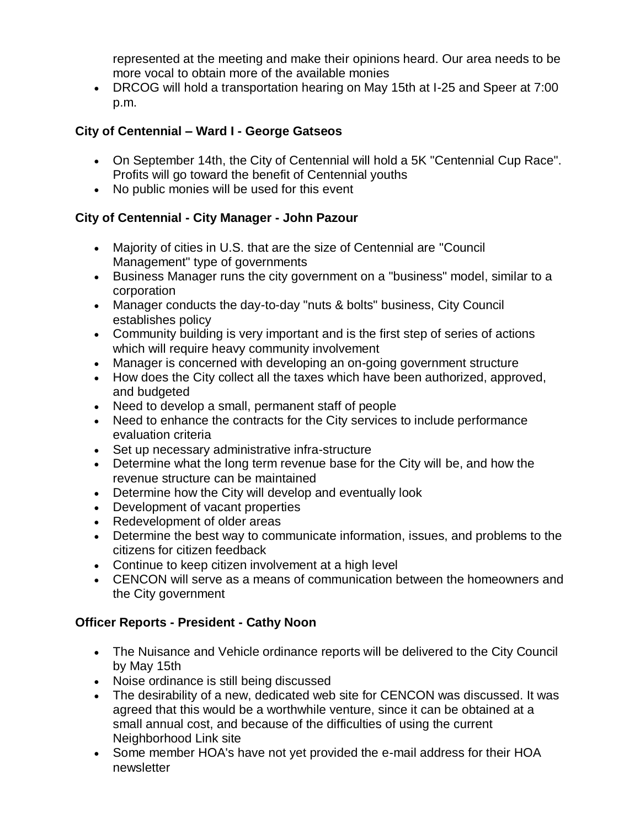represented at the meeting and make their opinions heard. Our area needs to be more vocal to obtain more of the available monies

 DRCOG will hold a transportation hearing on May 15th at I-25 and Speer at 7:00 p.m.

## **City of Centennial – Ward I - George Gatseos**

- On September 14th, the City of Centennial will hold a 5K "Centennial Cup Race". Profits will go toward the benefit of Centennial youths
- No public monies will be used for this event

## **City of Centennial - City Manager - John Pazour**

- Majority of cities in U.S. that are the size of Centennial are "Council Management" type of governments
- Business Manager runs the city government on a "business" model, similar to a corporation
- Manager conducts the day-to-day "nuts & bolts" business, City Council establishes policy
- Community building is very important and is the first step of series of actions which will require heavy community involvement
- Manager is concerned with developing an on-going government structure
- How does the City collect all the taxes which have been authorized, approved, and budgeted
- Need to develop a small, permanent staff of people
- Need to enhance the contracts for the City services to include performance evaluation criteria
- Set up necessary administrative infra-structure
- Determine what the long term revenue base for the City will be, and how the revenue structure can be maintained
- Determine how the City will develop and eventually look
- Development of vacant properties
- Redevelopment of older areas
- Determine the best way to communicate information, issues, and problems to the citizens for citizen feedback
- Continue to keep citizen involvement at a high level
- CENCON will serve as a means of communication between the homeowners and the City government

# **Officer Reports - President - Cathy Noon**

- The Nuisance and Vehicle ordinance reports will be delivered to the City Council by May 15th
- Noise ordinance is still being discussed
- The desirability of a new, dedicated web site for CENCON was discussed. It was agreed that this would be a worthwhile venture, since it can be obtained at a small annual cost, and because of the difficulties of using the current Neighborhood Link site
- Some member HOA's have not yet provided the e-mail address for their HOA newsletter